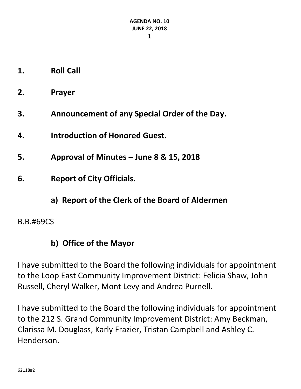- **1. Roll Call**
- **2. Prayer**
- **3. Announcement of any Special Order of the Day.**
- **4. Introduction of Honored Guest.**
- **5. Approval of Minutes – June 8 & 15, 2018**
- **6. Report of City Officials.**
	- **a) Report of the Clerk of the Board of Aldermen**

### B.B.#69CS

# **b) Office of the Mayor**

I have submitted to the Board the following individuals for appointment to the Loop East Community Improvement District: Felicia Shaw, John Russell, Cheryl Walker, Mont Levy and Andrea Purnell.

I have submitted to the Board the following individuals for appointment to the 212 S. Grand Community Improvement District: Amy Beckman, Clarissa M. Douglass, Karly Frazier, Tristan Campbell and Ashley C. Henderson.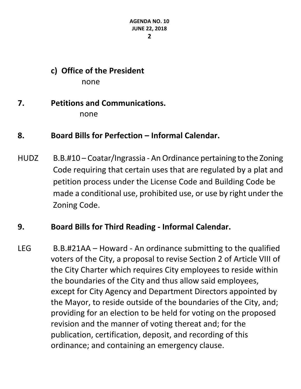### **c) Office of the President** none

### **7. Petitions and Communications.** none

### **8. Board Bills for Perfection – Informal Calendar.**

HUDZ B.B.#10 – Coatar/Ingrassia - An Ordinance pertaining to the Zoning Code requiring that certain uses that are regulated by a plat and petition process under the License Code and Building Code be made a conditional use, prohibited use, or use by right under the Zoning Code.

### **9. Board Bills for Third Reading - Informal Calendar.**

LEG B.B.#21AA – Howard - An ordinance submitting to the qualified voters of the City, a proposal to revise Section 2 of Article VIII of the City Charter which requires City employees to reside within the boundaries of the City and thus allow said employees, except for City Agency and Department Directors appointed by the Mayor, to reside outside of the boundaries of the City, and; providing for an election to be held for voting on the proposed revision and the manner of voting thereat and; for the publication, certification, deposit, and recording of this ordinance; and containing an emergency clause.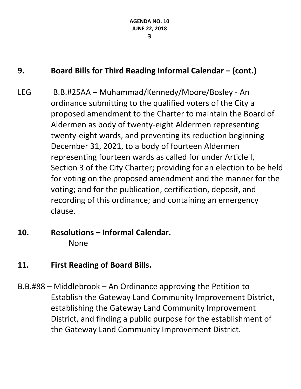# **9. Board Bills for Third Reading Informal Calendar – (cont.)**

- LEG B.B.#25AA Muhammad/Kennedy/Moore/Bosley An ordinance submitting to the qualified voters of the City a proposed amendment to the Charter to maintain the Board of Aldermen as body of twenty-eight Aldermen representing twenty-eight wards, and preventing its reduction beginning December 31, 2021, to a body of fourteen Aldermen representing fourteen wards as called for under Article I, Section 3 of the City Charter; providing for an election to be held for voting on the proposed amendment and the manner for the voting; and for the publication, certification, deposit, and recording of this ordinance; and containing an emergency clause.
- **10. Resolutions – Informal Calendar.** None
- **11. First Reading of Board Bills.**
- B.B.#88 Middlebrook An Ordinance approving the Petition to Establish the Gateway Land Community Improvement District, establishing the Gateway Land Community Improvement District, and finding a public purpose for the establishment of the Gateway Land Community Improvement District.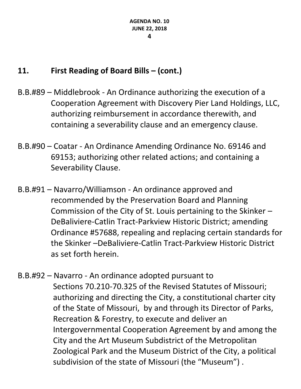# **11. First Reading of Board Bills – (cont.)**

- B.B.#89 Middlebrook An Ordinance authorizing the execution of a Cooperation Agreement with Discovery Pier Land Holdings, LLC, authorizing reimbursement in accordance therewith, and containing a severability clause and an emergency clause.
- B.B.#90 Coatar An Ordinance Amending Ordinance No. 69146 and 69153; authorizing other related actions; and containing a Severability Clause.
- B.B.#91 Navarro/Williamson An ordinance approved and recommended by the Preservation Board and Planning Commission of the City of St. Louis pertaining to the Skinker – DeBaliviere-Catlin Tract-Parkview Historic District; amending Ordinance #57688, repealing and replacing certain standards for the Skinker –DeBaliviere-Catlin Tract-Parkview Historic District as set forth herein.
- B.B.#92 Navarro An ordinance adopted pursuant to Sections 70.210-70.325 of the Revised Statutes of Missouri; authorizing and directing the City, a constitutional charter city of the State of Missouri, by and through its Director of Parks, Recreation & Forestry, to execute and deliver an Intergovernmental Cooperation Agreement by and among the City and the Art Museum Subdistrict of the Metropolitan Zoological Park and the Museum District of the City, a political subdivision of the state of Missouri (the "Museum") .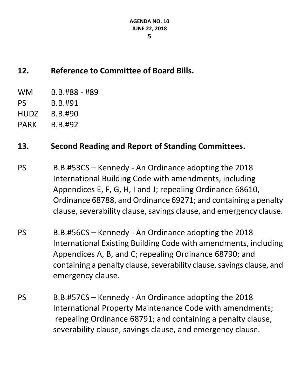# **12. Reference to Committee of Board Bills.**

- WM B.B.#88 #89
- PS B.B.#91
- HUDZ B.B.#90
- PARK B.B.#92

# **13. Second Reading and Report of Standing Committees.**

- PS B.B.#53CS Kennedy An Ordinance adopting the 2018 International Building Code with amendments, including Appendices E, F, G, H, I and J; repealing Ordinance 68610, Ordinance 68788, and Ordinance 69271; and containing a penalty clause, severability clause, savings clause, and emergency clause.
- PS B.B.#56CS Kennedy An Ordinance adopting the 2018 International Existing Building Code with amendments, including Appendices A, B, and C; repealing Ordinance 68790; and containing a penalty clause, severability clause, savings clause, and emergency clause.
- PS B.B.#57CS Kennedy An Ordinance adopting the 2018 International Property Maintenance Code with amendments; repealing Ordinance 68791; and containing a penalty clause, severability clause, savings clause, and emergency clause.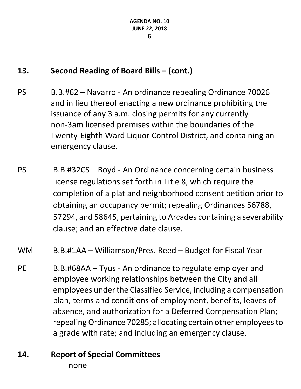# **13. Second Reading of Board Bills – (cont.)**

- PS B.B.#62 Navarro An ordinance repealing Ordinance 70026 and in lieu thereof enacting a new ordinance prohibiting the issuance of any 3 a.m. closing permits for any currently non-3am licensed premises within the boundaries of the Twenty-Eighth Ward Liquor Control District, and containing an emergency clause.
- PS B.B.#32CS Boyd An Ordinance concerning certain business license regulations set forth in Title 8, which require the completion of a plat and neighborhood consent petition prior to obtaining an occupancy permit; repealing Ordinances 56788, 57294, and 58645, pertaining to Arcades containing a severability clause; and an effective date clause.

### WM B.B.#1AA – Williamson/Pres. Reed – Budget for Fiscal Year

PE B.B.#68AA – Tyus - An ordinance to regulate employer and employee working relationships between the City and all employees under the Classified Service, including a compensation plan, terms and conditions of employment, benefits, leaves of absence, and authorization for a Deferred Compensation Plan; repealing Ordinance 70285; allocating certain other employees to a grade with rate; and including an emergency clause.

### **14. Report of Special Committees** none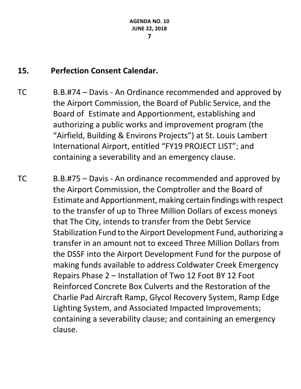# **15. Perfection Consent Calendar.**

- TC B.B.#74 Davis An Ordinance recommended and approved by the Airport Commission, the Board of Public Service, and the Board of Estimate and Apportionment, establishing and authorizing a public works and improvement program (the "Airfield, Building & Environs Projects") at St. Louis Lambert International Airport, entitled "FY19 PROJECT LIST"; and containing a severability and an emergency clause.
- TC B.B.#75 Davis An ordinance recommended and approved by the Airport Commission, the Comptroller and the Board of Estimate and Apportionment, making certain findings with respect to the transfer of up to Three Million Dollars of excess moneys that The City, intends to transfer from the Debt Service Stabilization Fund to the Airport Development Fund, authorizing a transfer in an amount not to exceed Three Million Dollars from the DSSF into the Airport Development Fund for the purpose of making funds available to address Coldwater Creek Emergency Repairs Phase 2 – Installation of Two 12 Foot BY 12 Foot Reinforced Concrete Box Culverts and the Restoration of the Charlie Pad Aircraft Ramp, Glycol Recovery System, Ramp Edge Lighting System, and Associated Impacted Improvements; containing a severability clause; and containing an emergency clause.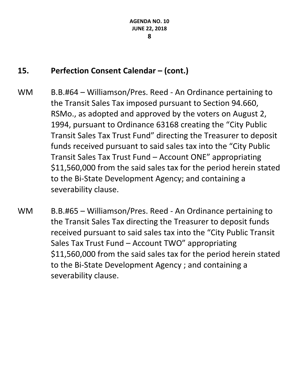# **15. Perfection Consent Calendar – (cont.)**

- WM B.B.#64 Williamson/Pres. Reed An Ordinance pertaining to the Transit Sales Tax imposed pursuant to Section 94.660, RSMo., as adopted and approved by the voters on August 2, 1994, pursuant to Ordinance 63168 creating the "City Public Transit Sales Tax Trust Fund" directing the Treasurer to deposit funds received pursuant to said sales tax into the "City Public Transit Sales Tax Trust Fund – Account ONE" appropriating \$11,560,000 from the said sales tax for the period herein stated to the Bi-State Development Agency; and containing a severability clause.
- WM B.B.#65 Williamson/Pres. Reed An Ordinance pertaining to the Transit Sales Tax directing the Treasurer to deposit funds received pursuant to said sales tax into the "City Public Transit Sales Tax Trust Fund – Account TWO" appropriating \$11,560,000 from the said sales tax for the period herein stated to the Bi-State Development Agency ; and containing a severability clause.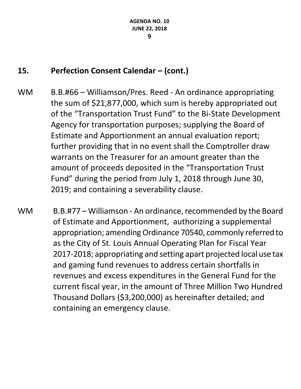# **15. Perfection Consent Calendar – (cont.)**

- WM B.B.#66 Williamson/Pres. Reed An ordinance appropriating the sum of \$21,877,000, which sum is hereby appropriated out of the "Transportation Trust Fund" to the Bi-State Development Agency for transportation purposes; supplying the Board of Estimate and Apportionment an annual evaluation report; further providing that in no event shall the Comptroller draw warrants on the Treasurer for an amount greater than the amount of proceeds deposited in the "Transportation Trust Fund" during the period from July 1, 2018 through June 30, 2019; and containing a severability clause.
- WM B.B.#77 Williamson An ordinance, recommended by the Board of Estimate and Apportionment, authorizing a supplemental appropriation; amending Ordinance 70540, commonly referred to as the City of St. Louis Annual Operating Plan for Fiscal Year 2017-2018; appropriating and setting apart projected local use tax and gaming fund revenues to address certain shortfalls in revenues and excess expenditures in the General Fund for the current fiscal year, in the amount of Three Million Two Hundred Thousand Dollars (\$3,200,000) as hereinafter detailed; and containing an emergency clause.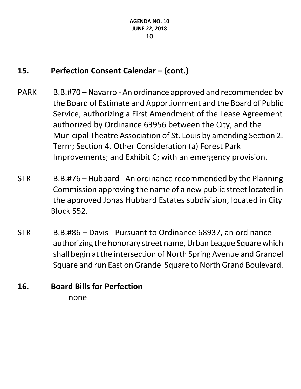# **15. Perfection Consent Calendar – (cont.)**

- PARK B.B.#70 Navarro An ordinance approved and recommended by the Board of Estimate and Apportionment and the Board of Public Service; authorizing a First Amendment of the Lease Agreement authorized by Ordinance 63956 between the City, and the Municipal Theatre Association of St. Louis by amending Section 2. Term; Section 4. Other Consideration (a) Forest Park Improvements; and Exhibit C; with an emergency provision.
- STR B.B.#76 Hubbard An ordinance recommended by the Planning Commission approving the name of a new public street located in the approved Jonas Hubbard Estates subdivision, located in City Block 552.
- STR B.B.#86 Davis Pursuant to Ordinance 68937, an ordinance authorizing the honorary street name, Urban League Square which shall begin at the intersection of North Spring Avenue and Grandel Square and run East on Grandel Square to North Grand Boulevard.

# **16. Board Bills for Perfection**

none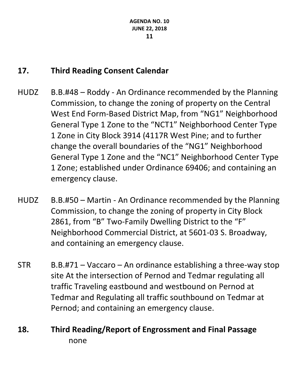### **17. Third Reading Consent Calendar**

- HUDZ B.B.#48 Roddy An Ordinance recommended by the Planning Commission, to change the zoning of property on the Central West End Form-Based District Map, from "NG1" Neighborhood General Type 1 Zone to the "NCT1" Neighborhood Center Type 1 Zone in City Block 3914 (4117R West Pine; and to further change the overall boundaries of the "NG1" Neighborhood General Type 1 Zone and the "NC1" Neighborhood Center Type 1 Zone; established under Ordinance 69406; and containing an emergency clause.
- HUDZ B.B.#50 Martin An Ordinance recommended by the Planning Commission, to change the zoning of property in City Block 2861, from "B" Two-Family Dwelling District to the "F" Neighborhood Commercial District, at 5601-03 S. Broadway, and containing an emergency clause.
- $STR$  B.B.#71 Vaccaro An ordinance establishing a three-way stop site At the intersection of Pernod and Tedmar regulating all traffic Traveling eastbound and westbound on Pernod at Tedmar and Regulating all traffic southbound on Tedmar at Pernod; and containing an emergency clause.

# **18. Third Reading/Report of Engrossment and Final Passage** none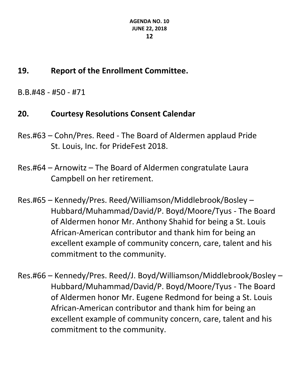# **19. Report of the Enrollment Committee.**

B.B.#48 - #50 - #71

# **20. Courtesy Resolutions Consent Calendar**

- Res.#63 Cohn/Pres. Reed The Board of Aldermen applaud Pride St. Louis, Inc. for PrideFest 2018.
- Res.#64 Arnowitz The Board of Aldermen congratulate Laura Campbell on her retirement.
- Res.#65 Kennedy/Pres. Reed/Williamson/Middlebrook/Bosley Hubbard/Muhammad/David/P. Boyd/Moore/Tyus - The Board of Aldermen honor Mr. Anthony Shahid for being a St. Louis African-American contributor and thank him for being an excellent example of community concern, care, talent and his commitment to the community.
- Res.#66 Kennedy/Pres. Reed/J. Boyd/Williamson/Middlebrook/Bosley Hubbard/Muhammad/David/P. Boyd/Moore/Tyus - The Board of Aldermen honor Mr. Eugene Redmond for being a St. Louis African-American contributor and thank him for being an excellent example of community concern, care, talent and his commitment to the community.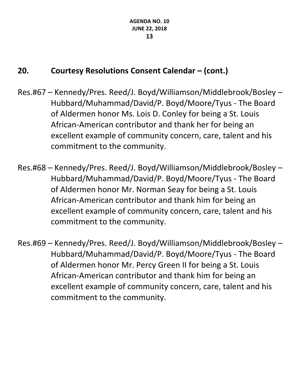# **20. Courtesy Resolutions Consent Calendar – (cont.)**

- Res.#67 Kennedy/Pres. Reed/J. Boyd/Williamson/Middlebrook/Bosley Hubbard/Muhammad/David/P. Boyd/Moore/Tyus - The Board of Aldermen honor Ms. Lois D. Conley for being a St. Louis African-American contributor and thank her for being an excellent example of community concern, care, talent and his commitment to the community.
- Res.#68 Kennedy/Pres. Reed/J. Boyd/Williamson/Middlebrook/Bosley Hubbard/Muhammad/David/P. Boyd/Moore/Tyus - The Board of Aldermen honor Mr. Norman Seay for being a St. Louis African-American contributor and thank him for being an excellent example of community concern, care, talent and his commitment to the community.
- Res.#69 Kennedy/Pres. Reed/J. Boyd/Williamson/Middlebrook/Bosley Hubbard/Muhammad/David/P. Boyd/Moore/Tyus - The Board of Aldermen honor Mr. Percy Green II for being a St. Louis African-American contributor and thank him for being an excellent example of community concern, care, talent and his commitment to the community.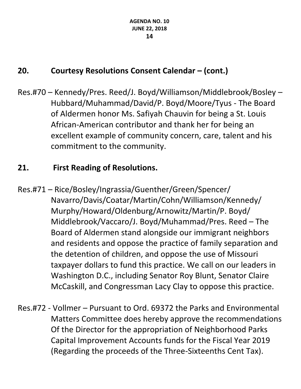# **20. Courtesy Resolutions Consent Calendar – (cont.)**

Res.#70 – Kennedy/Pres. Reed/J. Boyd/Williamson/Middlebrook/Bosley – Hubbard/Muhammad/David/P. Boyd/Moore/Tyus - The Board of Aldermen honor Ms. Safiyah Chauvin for being a St. Louis African-American contributor and thank her for being an excellent example of community concern, care, talent and his commitment to the community.

# **21. First Reading of Resolutions.**

- Res.#71 Rice/Bosley/Ingrassia/Guenther/Green/Spencer/ Navarro/Davis/Coatar/Martin/Cohn/Williamson/Kennedy/ Murphy/Howard/Oldenburg/Arnowitz/Martin/P. Boyd/ Middlebrook/Vaccaro/J. Boyd/Muhammad/Pres. Reed – The Board of Aldermen stand alongside our immigrant neighbors and residents and oppose the practice of family separation and the detention of children, and oppose the use of Missouri taxpayer dollars to fund this practice. We call on our leaders in Washington D.C., including Senator Roy Blunt, Senator Claire McCaskill, and Congressman Lacy Clay to oppose this practice.
- Res.#72 Vollmer Pursuant to Ord. 69372 the Parks and Environmental Matters Committee does hereby approve the recommendations Of the Director for the appropriation of Neighborhood Parks Capital Improvement Accounts funds for the Fiscal Year 2019 (Regarding the proceeds of the Three-Sixteenths Cent Tax).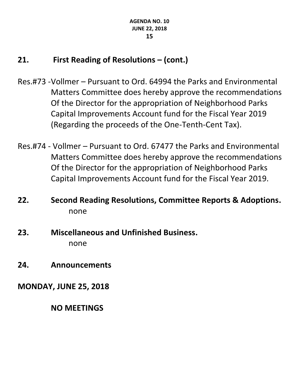# **21. First Reading of Resolutions – (cont.)**

- Res.#73 -Vollmer Pursuant to Ord. 64994 the Parks and Environmental Matters Committee does hereby approve the recommendations Of the Director for the appropriation of Neighborhood Parks Capital Improvements Account fund for the Fiscal Year 2019 (Regarding the proceeds of the One-Tenth-Cent Tax).
- Res.#74 Vollmer Pursuant to Ord. 67477 the Parks and Environmental Matters Committee does hereby approve the recommendations Of the Director for the appropriation of Neighborhood Parks Capital Improvements Account fund for the Fiscal Year 2019.
- **22. Second Reading Resolutions, Committee Reports & Adoptions.** none
- **23. Miscellaneous and Unfinished Business.** none
- **24. Announcements**

**MONDAY, JUNE 25, 2018**

**NO MEETINGS**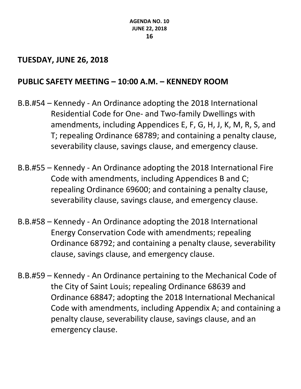### **TUESDAY, JUNE 26, 2018**

### **PUBLIC SAFETY MEETING – 10:00 A.M. – KENNEDY ROOM**

- B.B.#54 Kennedy An Ordinance adopting the 2018 International Residential Code for One- and Two-family Dwellings with amendments, including Appendices E, F, G, H, J, K, M, R, S, and T; repealing Ordinance 68789; and containing a penalty clause, severability clause, savings clause, and emergency clause.
- B.B.#55 Kennedy An Ordinance adopting the 2018 International Fire Code with amendments, including Appendices B and C; repealing Ordinance 69600; and containing a penalty clause, severability clause, savings clause, and emergency clause.
- B.B.#58 Kennedy An Ordinance adopting the 2018 International Energy Conservation Code with amendments; repealing Ordinance 68792; and containing a penalty clause, severability clause, savings clause, and emergency clause.
- B.B.#59 Kennedy An Ordinance pertaining to the Mechanical Code of the City of Saint Louis; repealing Ordinance 68639 and Ordinance 68847; adopting the 2018 International Mechanical Code with amendments, including Appendix A; and containing a penalty clause, severability clause, savings clause, and an emergency clause.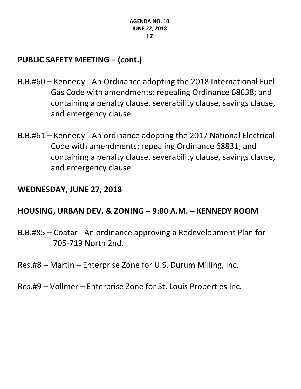# **PUBLIC SAFETY MEETING – (cont.)**

- B.B.#60 Kennedy An Ordinance adopting the 2018 International Fuel Gas Code with amendments; repealing Ordinance 68638; and containing a penalty clause, severability clause, savings clause, and emergency clause.
- B.B.#61 Kennedy An ordinance adopting the 2017 National Electrical Code with amendments; repealing Ordinance 68831; and containing a penalty clause, severability clause, savings clause, and emergency clause.

#### **WEDNESDAY, JUNE 27, 2018**

### **HOUSING, URBAN DEV. & ZONING – 9:00 A.M. – KENNEDY ROOM**

- B.B.#85 Coatar An ordinance approving a Redevelopment Plan for 705-719 North 2nd.
- Res.#8 Martin Enterprise Zone for U.S. Durum Milling, Inc.
- Res.#9 Vollmer Enterprise Zone for St. Louis Properties Inc.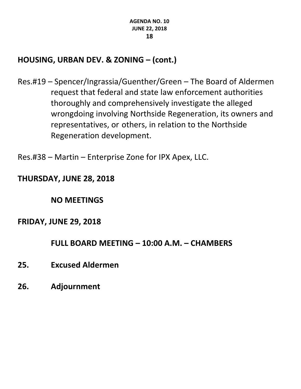### **HOUSING, URBAN DEV. & ZONING – (cont.)**

- Res.#19 Spencer/Ingrassia/Guenther/Green The Board of Aldermen request that federal and state law enforcement authorities thoroughly and comprehensively investigate the alleged wrongdoing involving Northside Regeneration, its owners and representatives, or others, in relation to the Northside Regeneration development.
- Res.#38 Martin Enterprise Zone for IPX Apex, LLC.

### **THURSDAY, JUNE 28, 2018**

**NO MEETINGS**

### **FRIDAY, JUNE 29, 2018**

**FULL BOARD MEETING – 10:00 A.M. – CHAMBERS**

- **25. Excused Aldermen**
- **26. Adjournment**